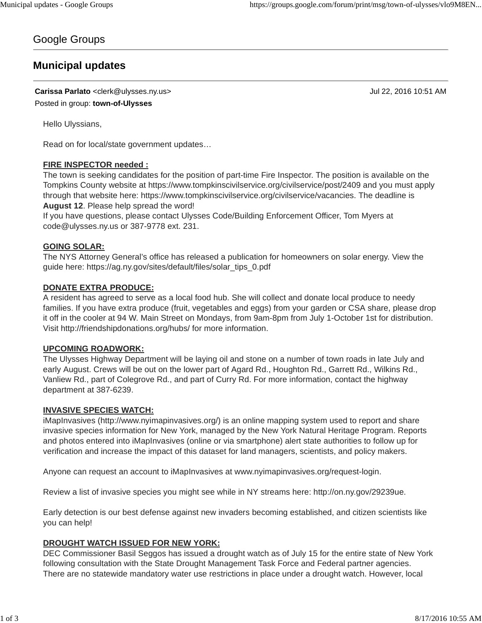## Google Groups

# **Municipal updates**

**Carissa Parlato** <clerk@ulysses.ny.us> Jul 22, 2016 10:51 AM

Posted in group: **town-of-Ulysses**

Hello Ulyssians,

Read on for local/state government updates…

## **FIRE INSPECTOR needed :**

The town is seeking candidates for the position of part-time Fire Inspector. The position is available on the Tompkins County website at https://www.tompkinscivilservice.org/civilservice/post/2409 and you must apply through that website here: https://www.tompkinscivilservice.org/civilservice/vacancies. The deadline is **August 12**. Please help spread the word!

If you have questions, please contact Ulysses Code/Building Enforcement Officer, Tom Myers at code@ulysses.ny.us or 387-9778 ext. 231.

## **GOING SOLAR:**

The NYS Attorney General's office has released a publication for homeowners on solar energy. View the guide here: https://ag.ny.gov/sites/default/files/solar\_tips\_0.pdf

## **DONATE EXTRA PRODUCE:**

A resident has agreed to serve as a local food hub. She will collect and donate local produce to needy families. If you have extra produce (fruit, vegetables and eggs) from your garden or CSA share, please drop it off in the cooler at 94 W. Main Street on Mondays, from 9am-8pm from July 1-October 1st for distribution. Visit http://friendshipdonations.org/hubs/ for more information.

#### **UPCOMING ROADWORK:**

The Ulysses Highway Department will be laying oil and stone on a number of town roads in late July and early August. Crews will be out on the lower part of Agard Rd., Houghton Rd., Garrett Rd., Wilkins Rd., Vanliew Rd., part of Colegrove Rd., and part of Curry Rd. For more information, contact the highway department at 387-6239.

#### **INVASIVE SPECIES WATCH:**

iMapInvasives (http://www.nyimapinvasives.org/) is an online mapping system used to report and share invasive species information for New York, managed by the New York Natural Heritage Program. Reports and photos entered into iMapInvasives (online or via smartphone) alert state authorities to follow up for verification and increase the impact of this dataset for land managers, scientists, and policy makers.

Anyone can request an account to iMapInvasives at www.nyimapinvasives.org/request-login.

Review a list of invasive species you might see while in NY streams here: http://on.ny.gov/29239ue.

Early detection is our best defense against new invaders becoming established, and citizen scientists like you can help!

#### **DROUGHT WATCH ISSUED FOR NEW YORK:**

DEC Commissioner Basil Seggos has issued a drought watch as of July 15 for the entire state of New York following consultation with the State Drought Management Task Force and Federal partner agencies. There are no statewide mandatory water use restrictions in place under a drought watch. However, local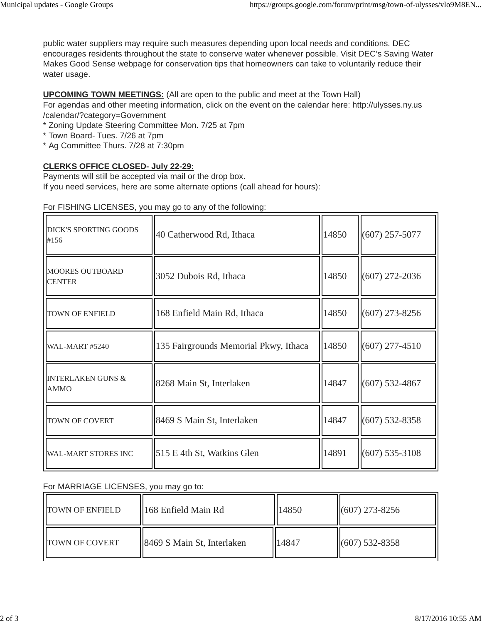public water suppliers may require such measures depending upon local needs and conditions. DEC encourages residents throughout the state to conserve water whenever possible. Visit DEC's Saving Water Makes Good Sense webpage for conservation tips that homeowners can take to voluntarily reduce their water usage.

#### **UPCOMING TOWN MEETINGS:** (All are open to the public and meet at the Town Hall)

For agendas and other meeting information, click on the event on the calendar here: http://ulysses.ny.us /calendar/?category=Government

\* Zoning Update Steering Committee Mon. 7/25 at 7pm

- \* Town Board- Tues. 7/26 at 7pm
- \* Ag Committee Thurs. 7/28 at 7:30pm

## **CLERKS OFFICE CLOSED- July 22-29:**

Payments will still be accepted via mail or the drop box. If you need services, here are some alternate options (call ahead for hours):

| <b>DICK'S SPORTING GOODS</b><br>#156        | 40 Catherwood Rd, Ithaca              | 14850 | $(607)$ 257-5077 |
|---------------------------------------------|---------------------------------------|-------|------------------|
| <b>MOORES OUTBOARD</b><br><b>CENTER</b>     | 3052 Dubois Rd, Ithaca                | 14850 | $(607)$ 272-2036 |
| TOWN OF ENFIELD                             | 168 Enfield Main Rd, Ithaca           | 14850 | $(607)$ 273-8256 |
| <b>WAL-MART #5240</b>                       | 135 Fairgrounds Memorial Pkwy, Ithaca | 14850 | $(607)$ 277-4510 |
| <b>INTERLAKEN GUNS &amp;</b><br><b>AMMO</b> | 8268 Main St, Interlaken              | 14847 | $(607)$ 532-4867 |
| TOWN OF COVERT                              | 8469 S Main St, Interlaken            | 14847 | $(607)$ 532-8358 |
| <b>WAL-MART STORES INC</b>                  | 515 E 4th St, Watkins Glen            | 14891 | $(607)$ 535-3108 |

## For FISHING LICENSES, you may go to any of the following:

#### For MARRIAGE LICENSES, you may go to:

| <b>TOWN OF ENFIELD</b> | 168 Enfield Main Rd        | 14850 | $(607)$ 273-8256 |
|------------------------|----------------------------|-------|------------------|
| <b>ITOWN OF COVERT</b> | 8469 S Main St, Interlaken | 14847 | $(607)$ 532-8358 |